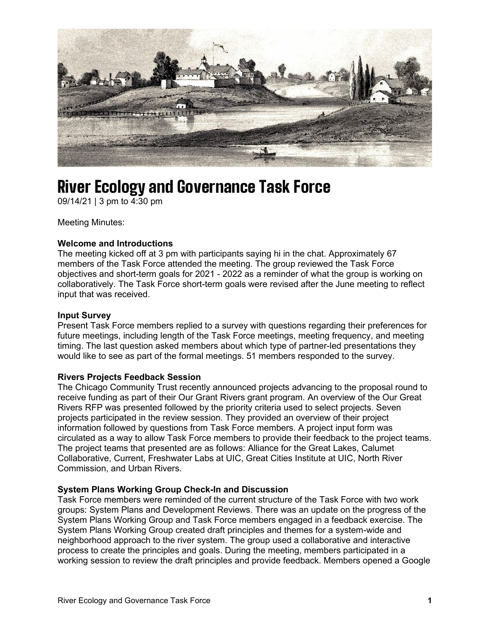

# River Ecology and Governance Task Force

09/14/21 | 3 pm to 4:30 pm

Meeting Minutes:

## **Welcome and Introductions**

The meeting kicked off at 3 pm with participants saying hi in the chat. Approximately 67 members of the Task Force attended the meeting. The group reviewed the Task Force objectives and short-term goals for 2021 - 2022 as a reminder of what the group is working on collaboratively. The Task Force short-term goals were revised after the June meeting to reflect input that was received.

#### **Input Survey**

Present Task Force members replied to a survey with questions regarding their preferences for future meetings, including length of the Task Force meetings, meeting frequency, and meeting timing. The last question asked members about which type of partner-led presentations they would like to see as part of the formal meetings. 51 members responded to the survey.

### **Rivers Projects Feedback Session**

The Chicago Community Trust recently announced projects advancing to the proposal round to receive funding as part of their Our Grant Rivers grant program. An overview of the Our Great Rivers RFP was presented followed by the priority criteria used to select projects. Seven projects participated in the review session. They provided an overview of their project information followed by questions from Task Force members. A project input form was circulated as a way to allow Task Force members to provide their feedback to the project teams. The project teams that presented are as follows: Alliance for the Great Lakes, Calumet Collaborative, Current, Freshwater Labs at UIC, Great Cities Institute at UIC, North River Commission, and Urban Rivers.

### **System Plans Working Group Check-In and Discussion**

Task Force members were reminded of the current structure of the Task Force with two work groups: System Plans and Development Reviews. There was an update on the progress of the System Plans Working Group and Task Force members engaged in a feedback exercise. The System Plans Working Group created draft principles and themes for a system-wide and neighborhood approach to the river system. The group used a collaborative and interactive process to create the principles and goals. During the meeting, members participated in a working session to review the draft principles and provide feedback. Members opened a Google